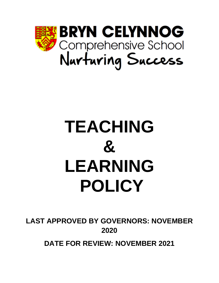

# **TEACHING & LEARNING POLICY**

**LAST APPROVED BY GOVERNORS: NOVEMBER 2020**

**DATE FOR REVIEW: NOVEMBER 2021**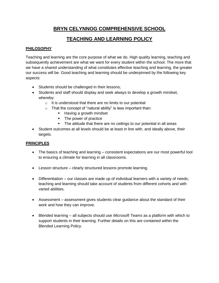# **BRYN CELYNNOG COMPREHENSIVE SCHOOL**

# **TEACHING AND LEARNING POLICY**

# **PHILOSOPHY**

Teaching and learning are the core purpose of what we do. High quality learning, teaching and subsequently achievement are what we want for every student within the school. The more that we have a shared understanding of what constitutes effective teaching and learning, the greater our success will be. Good teaching and learning should be underpinned by the following key aspects:

- Students should be challenged in their lessons;
- Students and staff should display and seek always to develop a growth mindset, whereby:
	- $\circ$  It is understood that there are no limits to our potential
	- $\circ$  That the concept of "natural ability" is less important than:
		- Having a growth mindset
		- The power of practice
		- **•** The attitude that there are no ceilings to our potential in all areas
- Student outcomes at all levels should be at least in line with, and ideally above, their targets.

# **PRINCIPLES**

- The basics of teaching and learning consistent expectations are our most powerful tool to ensuring a climate for learning in all classrooms.
- Lesson structure clearly structured lessons promote learning.
- Differentiation our classes are made up of individual learners with a variety of needs; teaching and learning should take account of students from different cohorts and with varied abilities.
- Assessment assessment gives students clear guidance about the standard of their work and how they can improve.
- Blended learning all subjects should use *Microsoft Teams* as a platform with which to support students in their learning. Further details on this are contained within the Blended Learning Policy.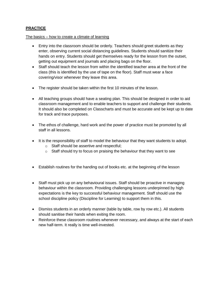### **PRACTICE**

#### The basics – how to create a climate of learning

- Entry into the classroom should be orderly. Teachers should greet students as they enter, observing current social distancing guidelines. Students should sanitize their hands on entry. Students should get themselves ready for the lesson from the outset, getting out equipment and journals and placing bags on the floor.
- Staff should teach the lesson from within the identified teacher area at the front of the class (this is identified by the use of tape on the floor). Staff must wear a face covering/visor whenever they leave this area.
- The register should be taken within the first 10 minutes of the lesson.
- All teaching groups should have a seating plan. This should be designed in order to aid classroom management and to enable teachers to support and challenge their students. It should also be completed on Classcharts and must be accurate and be kept up to date for track and trace purposes.
- The ethos of challenge, hard work and the power of practice must be promoted by all staff in all lessons.
- It is the responsibility of staff to model the behaviour that they want students to adopt.
	- o Staff should be assertive and respectful;
	- $\circ$  Staff should try to focus on praising the behaviour that they want to see
- Establish routines for the handing out of books etc. at the beginning of the lesson
- Staff must pick up on any behavioural issues. Staff should be proactive in managing behaviour within the classroom. Providing challenging lessons underpinned by high expectations is the key to successful behaviour management. Staff should use the school discipline policy (Discipline for Learning) to support them in this.
- Dismiss students in an orderly manner (table by table, row by row etc.). All students should sanitise their hands when exiting the room.
- Reinforce these classroom routines whenever necessary, and always at the start of each new half-term. It really is time well-invested.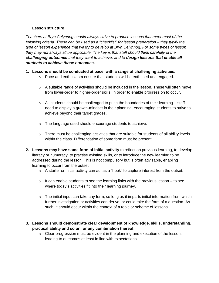#### **Lesson structure**

*Teachers at Bryn Celynnog should always strive to produce lessons that meet most of the following criteria. These can be used as a "checklist" for lesson preparation – they typify the type of lesson experience that we try to develop at Bryn Celynnog. For some types of lesson they may not always all be applicable. The key is that staff should think carefully of the challenging outcomes that they want to achieve, and to design lessons that enable all students to achieve those outcomes.*

- **1. Lessons should be conducted at pace, with a range of challenging activities.** 
	- $\circ$  Pace and enthusiasm ensure that students will be enthused and engaged.
	- $\circ$  A suitable range of activities should be included in the lesson. These will often move from lower-order to higher-order skills, in order to enable progression to occur.
	- $\circ$  All students should be challenged to push the boundaries of their learning staff need to display a growth-mindset in their planning, encouraging students to strive to achieve beyond their target grades.
	- o The language used should encourage students to achieve.
	- $\circ$  There must be challenging activities that are suitable for students of all ability levels within the class. Differentiation of some form must be present.
- **2. Lessons may have some form of initial activity** to reflect on previous learning, to develop literacy or numeracy, to practise existing skills, or to introduce the new learning to be addressed during the lesson. This is not compulsory but is often advisable, enabling learning to occur from the outset.
	- $\circ$  A starter or initial activity can act as a "hook" to capture interest from the outset.
	- $\circ$  It can enable students to see the learning links with the previous lesson to see where today's activities fit into their learning journey.
	- $\circ$  The initial input can take any form, so long as it imparts initial information from which further investigation or activities can derive, or could take the form of a question. As such, it should occur within the context of a topic or scheme of lessons.
- **3. Lessons should demonstrate clear development of knowledge, skills, understanding, practical ability and so on, or any combination thereof.**
	- o Clear progression must be evident in the planning and execution of the lesson, leading to outcomes at least in line with expectations.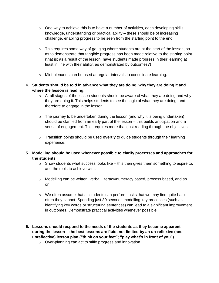- $\circ$  One way to achieve this is to have a number of activities, each developing skills, knowledge, understanding or practical ability – these should be of increasing challenge, enabling progress to be seen from the starting point to the end.
- $\circ$  This requires some way of gauging where students are at the start of the lesson, so as to demonstrate that tangible progress has been made relative to the starting point (that is; as a result of the lesson, have students made progress in their learning at least in line with their ability, as demonstrated by outcomes?)
- o Mini-plenaries can be used at regular intervals to consolidate learning.
- 4. **Students should be told in advance what they are doing, why they are doing it and where the lesson is leading.** 
	- $\circ$  At all stages of the lesson students should be aware of what they are doing and why they are doing it. This helps students to see the logic of what they are doing, and therefore to engage in the lesson.
	- $\circ$  The journey to be undertaken during the lesson (and why it is being undertaken) should be clarified from an early part of the lesson – this builds anticipation and a sense of engagement. This requires more than just reading through the objectives.
	- o Transition points should be used **overtly** to guide students through their learning experience.
- **5. Modelling should be used whenever possible to clarify processes and approaches for the students**
	- $\circ$  Show students what success looks like this then gives them something to aspire to, and the tools to achieve with.
	- $\circ$  Modelling can be written, verbal, literacy/numeracy based, process based, and so on.
	- $\circ$  We often assume that all students can perform tasks that we may find quite basic  $$ often they cannot. Spending just 30 seconds modelling key processes (such as identifying key words or structuring sentences) can lead to a significant improvement in outcomes. Demonstrate practical activities whenever possible.
- **6. Lessons should respond to the needs of the students as they become apparent during the lesson – the best lessons are fluid, not limited by an un-reflexive (and unreflective) lesson plan ("think on your feet"; "play what's in front of you")**
	- o Over-planning can act to stifle progress and innovation.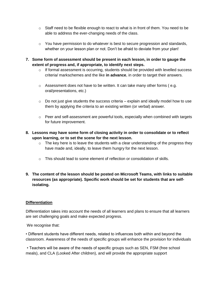- $\circ$  Staff need to be flexible enough to react to what is in front of them. You need to be able to address the ever-changing needs of the class.
- $\circ$  You have permission to do whatever is best to secure progression and standards, whether on your lesson plan or not. Don't be afraid to deviate from your plan!
- **7. Some form of assessment should be present in each lesson, in order to gauge the extent of progress and, if appropriate, to identify next steps.** 
	- $\circ$  If formal assessment is occurring, students should be provided with levelled success criteria/ markschemes and the like **in advance**, in order to target their answers.
	- $\circ$  Assessment does not have to be written. It can take many other forms (e.g. oral/presentations, etc.)
	- $\circ$  Do not just give students the success criteria explain and ideally model how to use them by applying the criteria to an existing written (or verbal) answer.
	- $\circ$  Peer and self-assessment are powerful tools, especially when combined with targets for future improvement.
- **8. Lessons may have some form of closing activity in order to consolidate or to reflect upon learning, or to set the scene for the next lesson.** 
	- $\circ$  The key here is to leave the students with a clear understanding of the progress they have made and, ideally, to leave them hungry for the next lesson.
	- $\circ$  This should lead to some element of reflection or consolidation of skills.

## **9. The content of the lesson should be posted on Microsoft Teams, with links to suitable resources (as appropriate). Specific work should be set for students that are selfisolating.**

### **Differentiation**

Differentiation takes into account the needs of all learners and plans to ensure that all learners are set challenging goals and make expected progress.

We recognise that:

• Different students have different needs, related to influences both within and beyond the classroom. Awareness of the needs of specific groups will enhance the provision for individuals

• Teachers will be aware of the needs of specific groups such as SEN, FSM (free school meals), and CLA (Looked After children), and will provide the appropriate support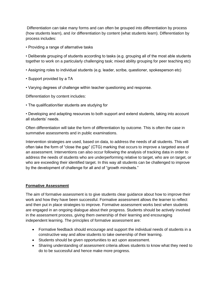Differentiation can take many forms and can often be grouped into differentiation by process (how students learn), and /or differentiation by content (what students learn). Differentiation by process includes:

• Providing a range of alternative tasks

• Deliberate grouping of students according to tasks (e.g. grouping all of the most able students together to work on a particularly challenging task; mixed ability grouping for peer teaching etc)

- Assigning roles to individual students (e.g. leader, scribe, questioner, spokesperson etc)
- Support provided by a TA
- Varying degrees of challenge within teacher questioning and response.

Differentiation by content includes:

• The qualification/tier students are studying for

• Developing and adapting resources to both support and extend students, taking into account all students' needs.

Often differentiation will take the form of differentiation by outcome. This is often the case in summative assessments and in public examinations.

Intervention strategies are used, based on data, to address the needs of all students. This will often take the form of "close the gap" (CTG) marking that occurs to improve a targeted area of an assessment. Interventions can also occur following the analysis of tracking data in order to address the needs of students who are underperforming relative to target, who are on target, or who are exceeding their identified target. In this way all students can be challenged to improve by the development of challenge for all and of "growth mindsets."

#### **Formative Assessment**

The aim of formative assessment is to give students clear guidance about how to improve their work and how they have been successful. Formative assessment allows the learner to reflect and then put in place strategies to improve. Formative assessment works best when students are engaged in an ongoing dialogue about their progress. Students should be actively involved in the assessment process, giving them ownership of their learning and encouraging independent learning. The principles of formative assessment are:

- Formative feedback should encourage and support the individual needs of students in a constructive way and allow students to take ownership of their learning.
- Students should be given opportunities to act upon assessment.
- Sharing understanding of assessment criteria allows students to know what they need to do to be successful and hence make more progress.